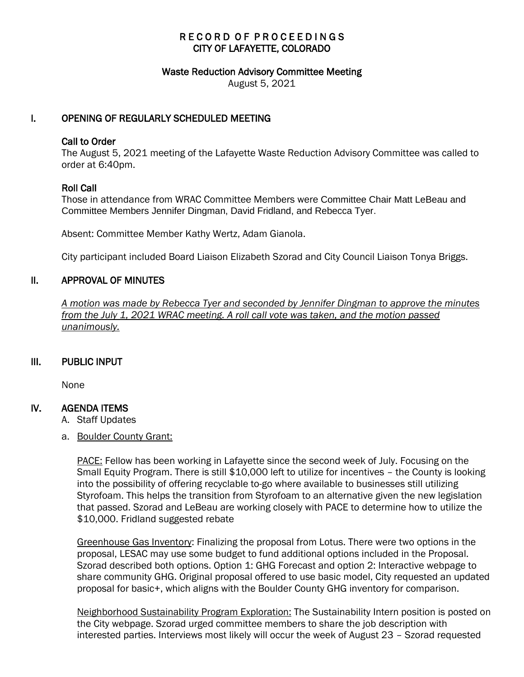## RECORD OF PROCEEDINGS CITY OF LAFAYETTE, COLORADO

#### Waste Reduction Advisory Committee Meeting

August 5, 2021

## I. OPENING OF REGULARLY SCHEDULED MEETING

### Call to Order

The August 5, 2021 meeting of the Lafayette Waste Reduction Advisory Committee was called to order at 6:40pm.

### Roll Call

Those in attendance from WRAC Committee Members were Committee Chair Matt LeBeau and Committee Members Jennifer Dingman, David Fridland, and Rebecca Tyer.

Absent: Committee Member Kathy Wertz, Adam Gianola.

City participant included Board Liaison Elizabeth Szorad and City Council Liaison Tonya Briggs.

## II. APPROVAL OF MINUTES

 *A motion was made by Rebecca Tyer and seconded by Jennifer Dingman to approve the minutes from the July 1, 2021 WRAC meeting. A roll call vote was taken, and the motion passed unanimously.* 

### III. PUBLIC INPUT

None

### IV. AGENDA ITEMS

A. Staff Updates

a. Boulder County Grant:

PACE: Fellow has been working in Lafayette since the second week of July. Focusing on the Small Equity Program. There is still \$10,000 left to utilize for incentives – the County is looking into the possibility of offering recyclable to-go where available to businesses still utilizing Styrofoam. This helps the transition from Styrofoam to an alternative given the new legislation that passed. Szorad and LeBeau are working closely with PACE to determine how to utilize the \$10,000. Fridland suggested rebate

Greenhouse Gas Inventory: Finalizing the proposal from Lotus. There were two options in the proposal, LESAC may use some budget to fund additional options included in the Proposal. Szorad described both options. Option 1: GHG Forecast and option 2: Interactive webpage to share community GHG. Original proposal offered to use basic model, City requested an updated proposal for basic+, which aligns with the Boulder County GHG inventory for comparison.

Neighborhood Sustainability Program Exploration: The Sustainability Intern position is posted on the City webpage. Szorad urged committee members to share the job description with interested parties. Interviews most likely will occur the week of August 23 – Szorad requested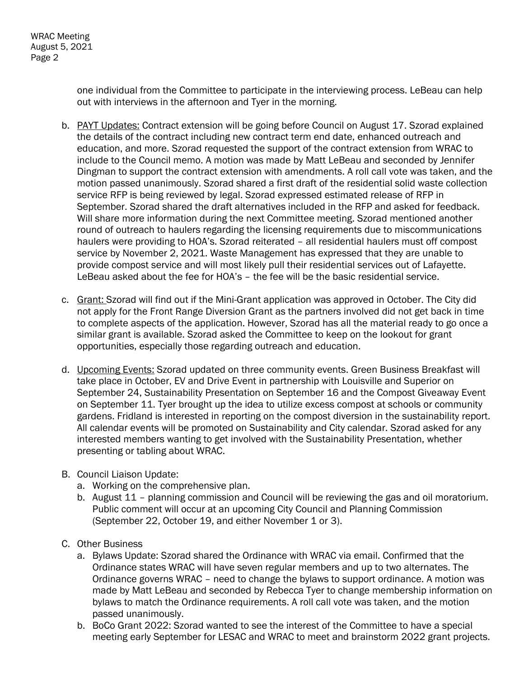one individual from the Committee to participate in the interviewing process. LeBeau can help out with interviews in the afternoon and Tyer in the morning.

- b. PAYT Updates: Contract extension will be going before Council on August 17. Szorad explained the details of the contract including new contract term end date, enhanced outreach and education, and more. Szorad requested the support of the contract extension from WRAC to include to the Council memo. A motion was made by Matt LeBeau and seconded by Jennifer Dingman to support the contract extension with amendments. A roll call vote was taken, and the motion passed unanimously. Szorad shared a first draft of the residential solid waste collection service RFP is being reviewed by legal. Szorad expressed estimated release of RFP in September. Szorad shared the draft alternatives included in the RFP and asked for feedback. Will share more information during the next Committee meeting. Szorad mentioned another round of outreach to haulers regarding the licensing requirements due to miscommunications haulers were providing to HOA's. Szorad reiterated - all residential haulers must off compost service by November 2, 2021. Waste Management has expressed that they are unable to provide compost service and will most likely pull their residential services out of Lafayette. LeBeau asked about the fee for HOA's – the fee will be the basic residential service.
- c. Grant: Szorad will find out if the Mini-Grant application was approved in October. The City did not apply for the Front Range Diversion Grant as the partners involved did not get back in time to complete aspects of the application. However, Szorad has all the material ready to go once a similar grant is available. Szorad asked the Committee to keep on the lookout for grant opportunities, especially those regarding outreach and education.
- d. Upcoming Events: Szorad updated on three community events. Green Business Breakfast will take place in October, EV and Drive Event in partnership with Louisville and Superior on September 24, Sustainability Presentation on September 16 and the Compost Giveaway Event on September 11. Tyer brought up the idea to utilize excess compost at schools or community gardens. Fridland is interested in reporting on the compost diversion in the sustainability report. All calendar events will be promoted on Sustainability and City calendar. Szorad asked for any interested members wanting to get involved with the Sustainability Presentation, whether presenting or tabling about WRAC.
- B. Council Liaison Update:
	- a. Working on the comprehensive plan.
	- b. August 11 planning commission and Council will be reviewing the gas and oil moratorium. Public comment will occur at an upcoming City Council and Planning Commission (September 22, October 19, and either November 1 or 3).
- C. Other Business
	- a. Bylaws Update: Szorad shared the Ordinance with WRAC via email. Confirmed that the Ordinance states WRAC will have seven regular members and up to two alternates. The Ordinance governs WRAC – need to change the bylaws to support ordinance. A motion was made by Matt LeBeau and seconded by Rebecca Tyer to change membership information on bylaws to match the Ordinance requirements. A roll call vote was taken, and the motion passed unanimously.
	- b. BoCo Grant 2022: Szorad wanted to see the interest of the Committee to have a special meeting early September for LESAC and WRAC to meet and brainstorm 2022 grant projects.